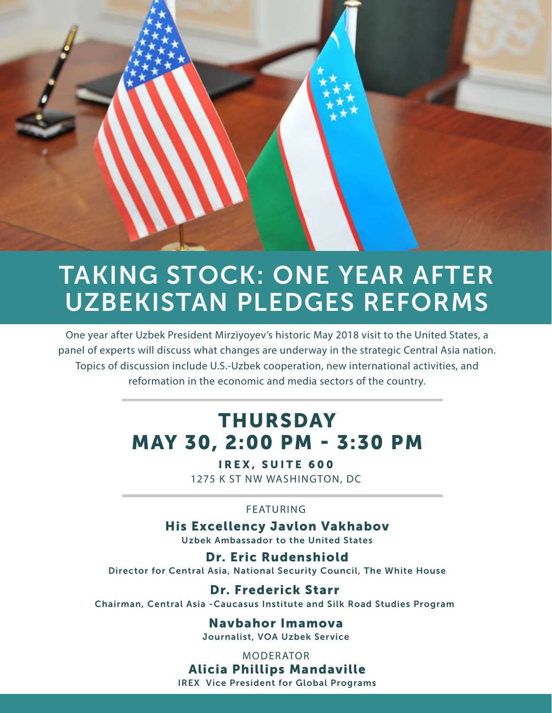## TAKING STOCK: ONE YEAR AFTER UZBEKISTAN PLEDGES REFORMS

One year after Uzbek President Mirziyoyev's historic May 2018 visit to the United States, a panel of experts will discuss what changes are underway in the strategic Central Asia nation. Topics of discussion include U.S.-Uzbek cooperation, new international activities, and reformation in the economic and media sectors of the country.

#### THURSDAY MAY 30, 2:00 PM - 3:30 PM

IREX, SUITE 600 1275 K ST NW WASHINGTON, DC

#### FEATURING

His Excellency Javlon Vakhabov Uzbek Ambassador to the United States

Dr. Eric Rudenshiold Director for Central Asia, National Security Council, The White House

Dr. Frederick Starr Chairman, Central Asia -Caucasus Institute and Silk Road Studies Program

> Navbahor Imamova Journalist, VOA Uzbek Service

> > MODERATOR

Alicia Phillips Mandaville IREX Vice President for Global Programs